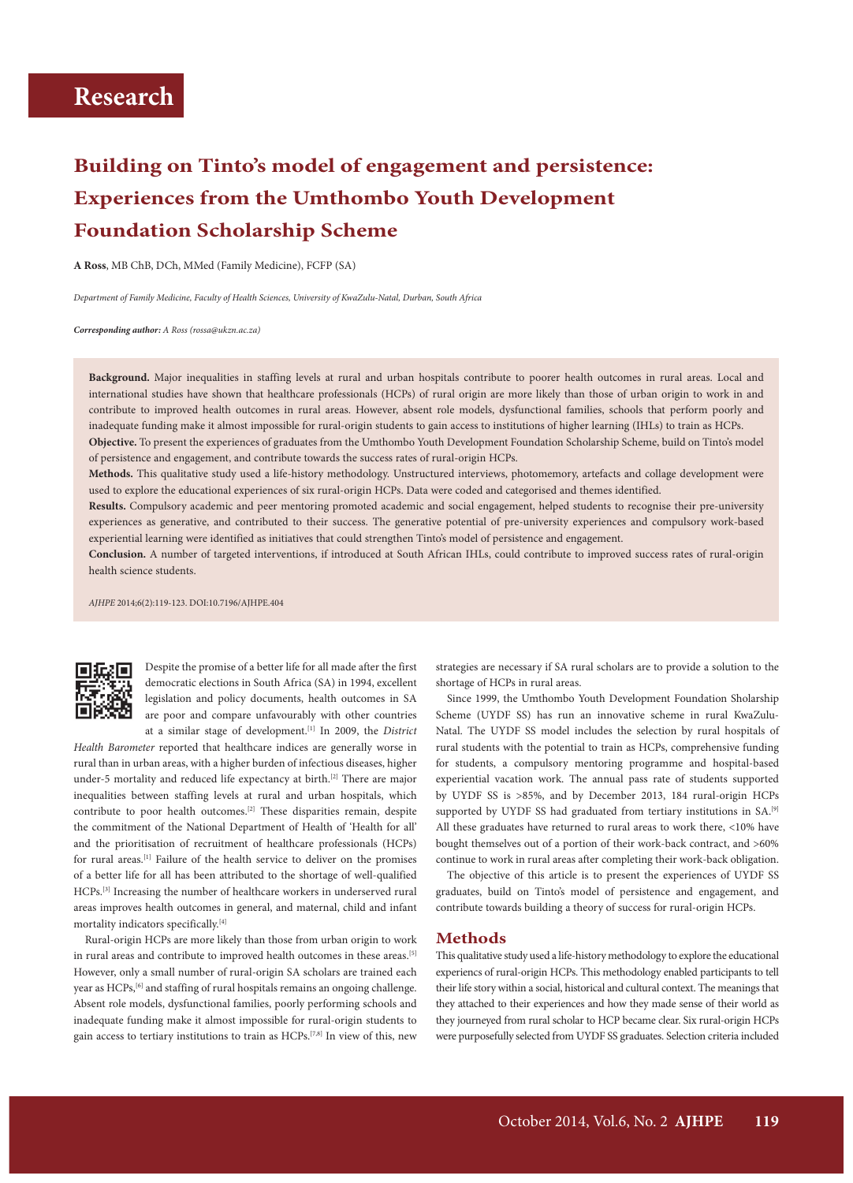# **Building on Tinto's model of engagement and persistence: Experiences from the Umthombo Youth Development Foundation Scholarship Scheme**

**A Ross**, MB ChB, DCh, MMed (Family Medicine), FCFP (SA)

*Department of Family Medicine, Faculty of Health Sciences, University of KwaZulu-Natal, Durban, South Africa*

*Corresponding author: A Ross (rossa@ukzn.ac.za)*

**Background.** Major inequalities in staffing levels at rural and urban hospitals contribute to poorer health outcomes in rural areas. Local and international studies have shown that healthcare professionals (HCPs) of rural origin are more likely than those of urban origin to work in and contribute to improved health outcomes in rural areas. However, absent role models, dysfunctional families, schools that perform poorly and inadequate funding make it almost impossible for rural-origin students to gain access to institutions of higher learning (IHLs) to train as HCPs. **Objective.** To present the experiences of graduates from the Umthombo Youth Development Foundation Scholarship Scheme, build on Tinto's model

of persistence and engagement, and contribute towards the success rates of rural-origin HCPs.

**Methods.** This qualitative study used a life-history methodology. Unstructured interviews, photomemory, artefacts and collage development were used to explore the educational experiences of six rural-origin HCPs. Data were coded and categorised and themes identified.

**Results.** Compulsory academic and peer mentoring promoted academic and social engagement, helped students to recognise their pre-university experiences as generative, and contributed to their success. The generative potential of pre-university experiences and compulsory work-based experiential learning were identified as initiatives that could strengthen Tinto's model of persistence and engagement.

**Conclusion.** A number of targeted interventions, if introduced at South African IHLs, could contribute to improved success rates of rural-origin health science students.

*AJHPE* 2014;6(2):119-123. DOI:10.7196/AJHPE.404



Despite the promise of a better life for all made after the first democratic elections in South Africa (SA) in 1994, excellent legislation and policy documents, health outcomes in SA are poor and compare unfavourably with other countries at a similar stage of development.[1] In 2009, the *District* 

*Health Barometer* reported that healthcare indices are generally worse in rural than in urban areas, with a higher burden of infectious diseases, higher under-5 mortality and reduced life expectancy at birth.<sup>[2]</sup> There are major inequalities between staffing levels at rural and urban hospitals, which contribute to poor health outcomes.[2] These disparities remain, despite the commitment of the National Department of Health of 'Health for all' and the prioritisation of recruitment of healthcare professionals (HCPs) for rural areas.[1] Failure of the health service to deliver on the promises of a better life for all has been attributed to the shortage of well-qualified HCPs.[3] Increasing the number of healthcare workers in underserved rural areas improves health outcomes in general, and maternal, child and infant mortality indicators specifically.[4]

Rural-origin HCPs are more likely than those from urban origin to work in rural areas and contribute to improved health outcomes in these areas.<sup>[5]</sup> However, only a small number of rural-origin SA scholars are trained each year as HCPs,<sup>[6]</sup> and staffing of rural hospitals remains an ongoing challenge. Absent role models, dysfunctional families, poorly performing schools and inadequate funding make it almost impossible for rural-origin students to gain access to tertiary institutions to train as  $HCPs$ .<sup>[7,8]</sup> In view of this, new strategies are necessary if SA rural scholars are to provide a solution to the shortage of HCPs in rural areas.

Since 1999, the Umthombo Youth Development Foundation Sholarship Scheme (UYDF SS) has run an innovative scheme in rural KwaZulu-Natal. The UYDF SS model includes the selection by rural hospitals of rural students with the potential to train as HCPs, comprehensive funding for students, a compulsory mentoring programme and hospital-based experiential vacation work. The annual pass rate of students supported by UYDF SS is >85%, and by December 2013, 184 rural-origin HCPs supported by UYDF SS had graduated from tertiary institutions in SA.<sup>[9]</sup> All these graduates have returned to rural areas to work there, <10% have bought themselves out of a portion of their work-back contract, and >60% continue to work in rural areas after completing their work-back obligation.

The objective of this article is to present the experiences of UYDF SS graduates, build on Tinto's model of persistence and engagement, and contribute towards building a theory of success for rural-origin HCPs.

#### **Methods**

This qualitative study used a life-history methodology to explore the educational experiencs of rural-origin HCPs. This methodology enabled participants to tell their life story within a social, historical and cultural context. The meanings that they attached to their experiences and how they made sense of their world as they journeyed from rural scholar to HCP became clear. Six rural-origin HCPs were purposefully selected from UYDF SS graduates. Selection criteria included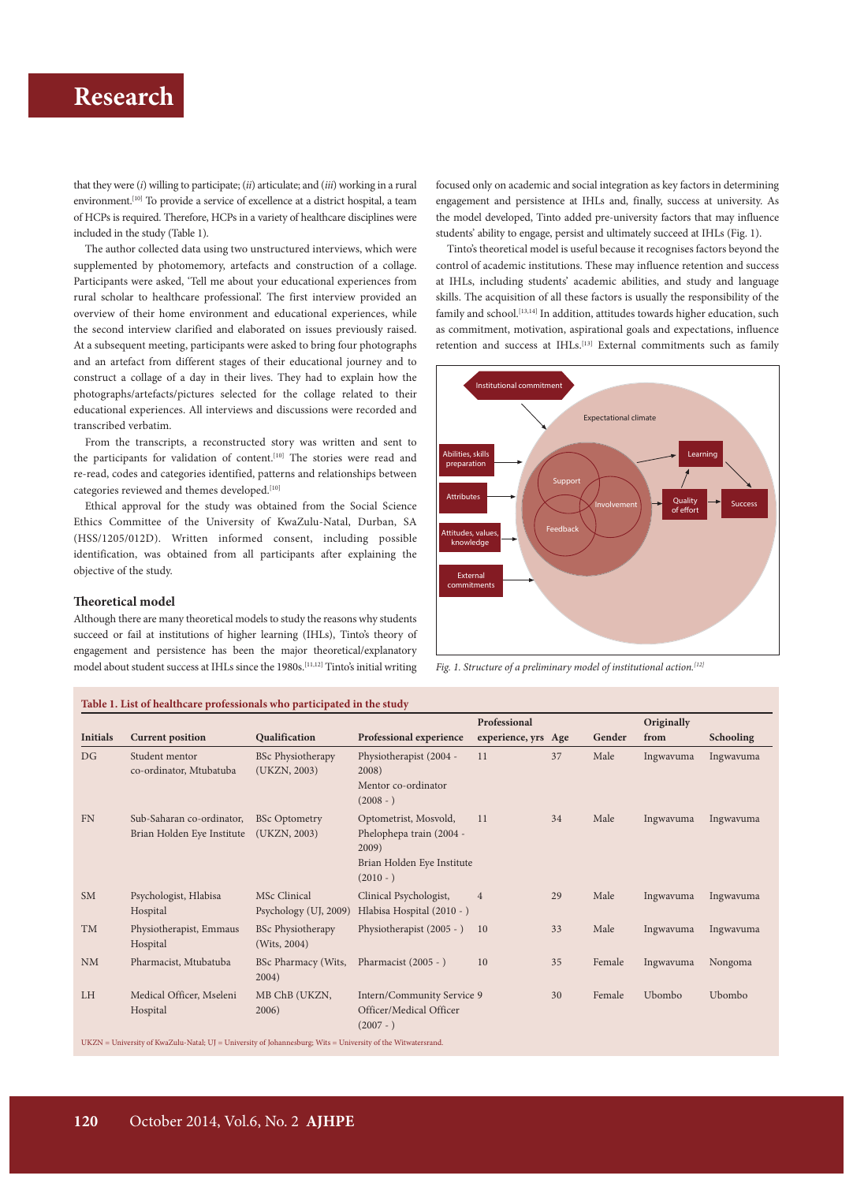# **Research Research Research Research Research Research Research Research Research Research Research Research Research Research Research Research Research Research Research Research R**

that they were (*i*) willing to participate; (*ii*) articulate; and (*iii*) working in a rural environment.<sup>[10]</sup> To provide a service of excellence at a district hospital, a team of HCPs is required. Therefore, HCPs in a variety of healthcare disciplines were included in the study (Table 1).

The author collected data using two unstructured interviews, which were supplemented by photomemory, artefacts and construction of a collage. Participants were asked, 'Tell me about your educational experiences from rural scholar to healthcare professional'. The first interview provided an overview of their home environment and educational experiences, while the second interview clarified and elaborated on issues previously raised. At a subsequent meeting, participants were asked to bring four photographs and an artefact from different stages of their educational journey and to construct a collage of a day in their lives. They had to explain how the photographs/artefacts/pictures selected for the collage related to their educational experiences. All interviews and discussions were recorded and transcribed verbatim.

From the transcripts, a reconstructed story was written and sent to the participants for validation of content.<sup>[10]</sup> The stories were read and re-read, codes and categories identified, patterns and relationships between categories reviewed and themes developed.<sup>[10]</sup>

Ethical approval for the study was obtained from the Social Science Ethics Committee of the University of KwaZulu-Natal, Durban, SA (HSS/1205/012D). Written informed consent, including possible identification, was obtained from all participants after explaining the objective of the study.

#### **Theoretical model**

Although there are many theoretical models to study the reasons why students succeed or fail at institutions of higher learning (IHLs), Tinto's theory of engagement and persistence has been the major theoretical/explanatory model about student success at IHLs since the 1980s.<sup>[11,12]</sup> Tinto's initial writing focused only on academic and social integration as key factors in determining engagement and persistence at IHLs and, finally, success at university. As the model developed, Tinto added pre-university factors that may influence students' ability to engage, persist and ultimately succeed at IHLs (Fig. 1).

Tinto's theoretical model is useful because it recognises factors beyond the control of academic institutions. These may influence retention and success at IHLs, including students' academic abilities, and study and language skills. The acquisition of all these factors is usually the responsibility of the family and school.  $\left[13,14\right]$  In addition, attitudes towards higher education, such as commitment, motivation, aspirational goals and expectations, influence retention and success at IHLs.<sup>[13]</sup> External commitments such as family



*Fig. 1. Structure of a preliminary model of institutional action.[12]*

## **Table 1. List of healthcare professionals who participated in the study**

|                 |                                                         |                                          |                                                                                                         | Professional        |    |        | Originally |                  |
|-----------------|---------------------------------------------------------|------------------------------------------|---------------------------------------------------------------------------------------------------------|---------------------|----|--------|------------|------------------|
| <b>Initials</b> | <b>Current position</b>                                 | Qualification                            | Professional experience                                                                                 | experience, yrs Age |    | Gender | from       | <b>Schooling</b> |
| DG              | Student mentor<br>co-ordinator, Mtubatuba               | <b>BSc Physiotherapy</b><br>(UKZN, 2003) | Physiotherapist (2004 -<br>2008)<br>Mentor co-ordinator<br>$(2008 - )$                                  | 11                  | 37 | Male   | Ingwavuma  | Ingwavuma        |
| <b>FN</b>       | Sub-Saharan co-ordinator,<br>Brian Holden Eye Institute | <b>BSc Optometry</b><br>(UKZN, 2003)     | Optometrist, Mosvold,<br>Phelophepa train (2004 -<br>2009)<br>Brian Holden Eye Institute<br>$(2010 - )$ | 11                  | 34 | Male   | Ingwavuma  | Ingwavuma        |
| <b>SM</b>       | Psychologist, Hlabisa<br>Hospital                       | MSc Clinical<br>Psychology (UJ, 2009)    | Clinical Psychologist,<br>Hlabisa Hospital (2010 - )                                                    | $\overline{4}$      | 29 | Male   | Ingwavuma  | Ingwavuma        |
| <b>TM</b>       | Physiotherapist, Emmaus<br>Hospital                     | <b>BSc Physiotherapy</b><br>(Wits, 2004) | Physiotherapist (2005 - )                                                                               | 10                  | 33 | Male   | Ingwavuma  | Ingwavuma        |
| <b>NM</b>       | Pharmacist, Mtubatuba                                   | BSc Pharmacy (Wits,<br>2004)             | Pharmacist (2005 - )                                                                                    | 10                  | 35 | Female | Ingwavuma  | Nongoma          |
| <b>LH</b>       | Medical Officer, Mseleni<br>Hospital                    | MB ChB (UKZN,<br>2006)                   | Intern/Community Service 9<br>Officer/Medical Officer<br>$(2007 - )$                                    |                     | 30 | Female | Ubombo     | Ubombo           |

 $\textbf{UKZN} = \textbf{University of KwaZulu-Natal; UJ} = \textbf{University of Johannesburg; Wits} = \textbf{University of the Witwatersrand}.$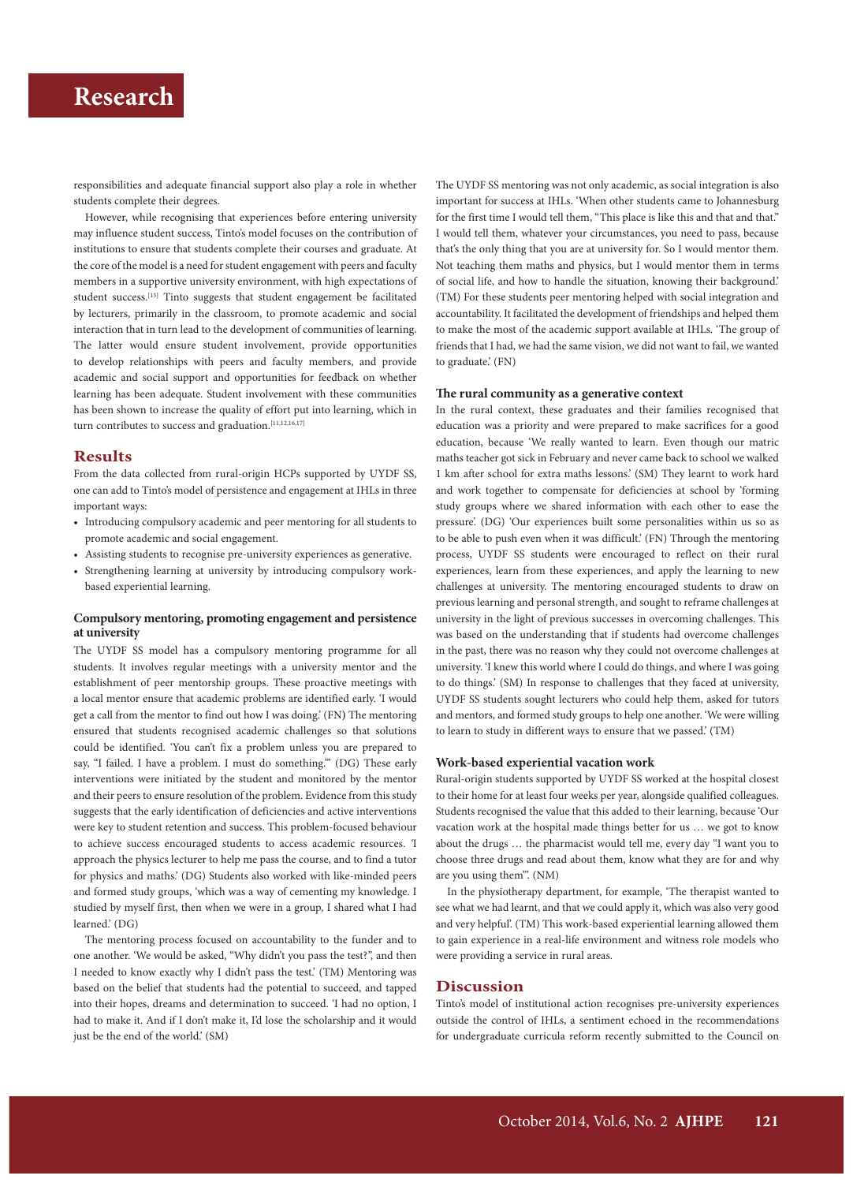## **Research**

responsibilities and adequate financial support also play a role in whether students complete their degrees.

However, while recognising that experiences before entering university may influence student success, Tinto's model focuses on the contribution of institutions to ensure that students complete their courses and graduate. At the core of the model is a need for student engagement with peers and faculty members in a supportive university environment, with high expectations of student success.<sup>[15]</sup> Tinto suggests that student engagement be facilitated by lecturers, primarily in the classroom, to promote academic and social interaction that in turn lead to the development of communities of learning. The latter would ensure student involvement, provide opportunities to develop relationships with peers and faculty members, and provide academic and social support and opportunities for feedback on whether learning has been adequate. Student involvement with these communities has been shown to increase the quality of effort put into learning, which in turn contributes to success and graduation.<sup>[11,12,16,17]</sup>

## **Results**

From the data collected from rural-origin HCPs supported by UYDF SS, one can add to Tinto's model of persistence and engagement at IHLs in three important ways:

- Introducing compulsory academic and peer mentoring for all students to promote academic and social engagement.
- Assisting students to recognise pre-university experiences as generative.
- Strengthening learning at university by introducing compulsory workbased experiential learning.

#### **Compulsory mentoring, promoting engagement and persistence at university**

The UYDF SS model has a compulsory mentoring programme for all students. It involves regular meetings with a university mentor and the establishment of peer mentorship groups. These proactive meetings with a local mentor ensure that academic problems are identified early. 'I would get a call from the mentor to find out how I was doing.' (FN**)** The mentoring ensured that students recognised academic challenges so that solutions could be identified. 'You can't fix a problem unless you are prepared to say, "I failed. I have a problem. I must do something."" (DG) These early interventions were initiated by the student and monitored by the mentor and their peers to ensure resolution of the problem. Evidence from this study suggests that the early identification of deficiencies and active interventions were key to student retention and success. This problem-focused behaviour to achieve success encouraged students to access academic resources. *'*I approach the physics lecturer to help me pass the course, and to find a tutor for physics and maths.' (DG) Students also worked with like-minded peers and formed study groups, 'which was a way of cementing my knowledge. I studied by myself first, then when we were in a group, I shared what I had learned.' (DG)

The mentoring process focused on accountability to the funder and to one another. 'We would be asked, "Why didn't you pass the test?", and then I needed to know exactly why I didn't pass the test.' (TM) Mentoring was based on the belief that students had the potential to succeed, and tapped into their hopes, dreams and determination to succeed. 'I had no option, I had to make it. And if I don't make it, I'd lose the scholarship and it would just be the end of the world.' (SM)

The UYDF SS mentoring was not only academic, as social integration is also important for success at IHLs. 'When other students came to Johannesburg for the first time I would tell them, "This place is like this and that and that." I would tell them, whatever your circumstances, you need to pass, because that's the only thing that you are at university for. So I would mentor them. Not teaching them maths and physics, but I would mentor them in terms of social life, and how to handle the situation, knowing their background.' (TM) For these students peer mentoring helped with social integration and accountability. It facilitated the development of friendships and helped them to make the most of the academic support available at IHLs. 'The group of friends that I had, we had the same vision, we did not want to fail, we wanted to graduate.' (FN)

#### **The rural community as a generative context**

In the rural context, these graduates and their families recognised that education was a priority and were prepared to make sacrifices for a good education, because 'We really wanted to learn. Even though our matric maths teacher got sick in February and never came back to school we walked 1 km after school for extra maths lessons.' (SM) They learnt to work hard and work together to compensate for deficiencies at school by 'forming study groups where we shared information with each other to ease the pressure'. (DG) 'Our experiences built some personalities within us so as to be able to push even when it was difficult.' (FN) Through the mentoring process, UYDF SS students were encouraged to reflect on their rural experiences, learn from these experiences, and apply the learning to new challenges at university. The mentoring encouraged students to draw on previous learning and personal strength, and sought to reframe challenges at university in the light of previous successes in overcoming challenges. This was based on the understanding that if students had overcome challenges in the past, there was no reason why they could not overcome challenges at university. 'I knew this world where I could do things, and where I was going to do things.' (SM) In response to challenges that they faced at university, UYDF SS students sought lecturers who could help them, asked for tutors and mentors, and formed study groups to help one another. 'We were willing to learn to study in different ways to ensure that we passed.' (TM)

#### **Work-based experiential vacation work**

Rural-origin students supported by UYDF SS worked at the hospital closest to their home for at least four weeks per year, alongside qualified colleagues. Students recognised the value that this added to their learning, because 'Our vacation work at the hospital made things better for us … we got to know about the drugs … the pharmacist would tell me, every day "I want you to choose three drugs and read about them, know what they are for and why are you using them"'. (NM)

In the physiotherapy department, for example, 'The therapist wanted to see what we had learnt, and that we could apply it, which was also very good and very helpful'. (TM) This work-based experiential learning allowed them to gain experience in a real-life environment and witness role models who were providing a service in rural areas.

### **Discussion**

Tinto's model of institutional action recognises pre-university experiences outside the control of IHLs, a sentiment echoed in the recommendations for undergraduate curricula reform recently submitted to the Council on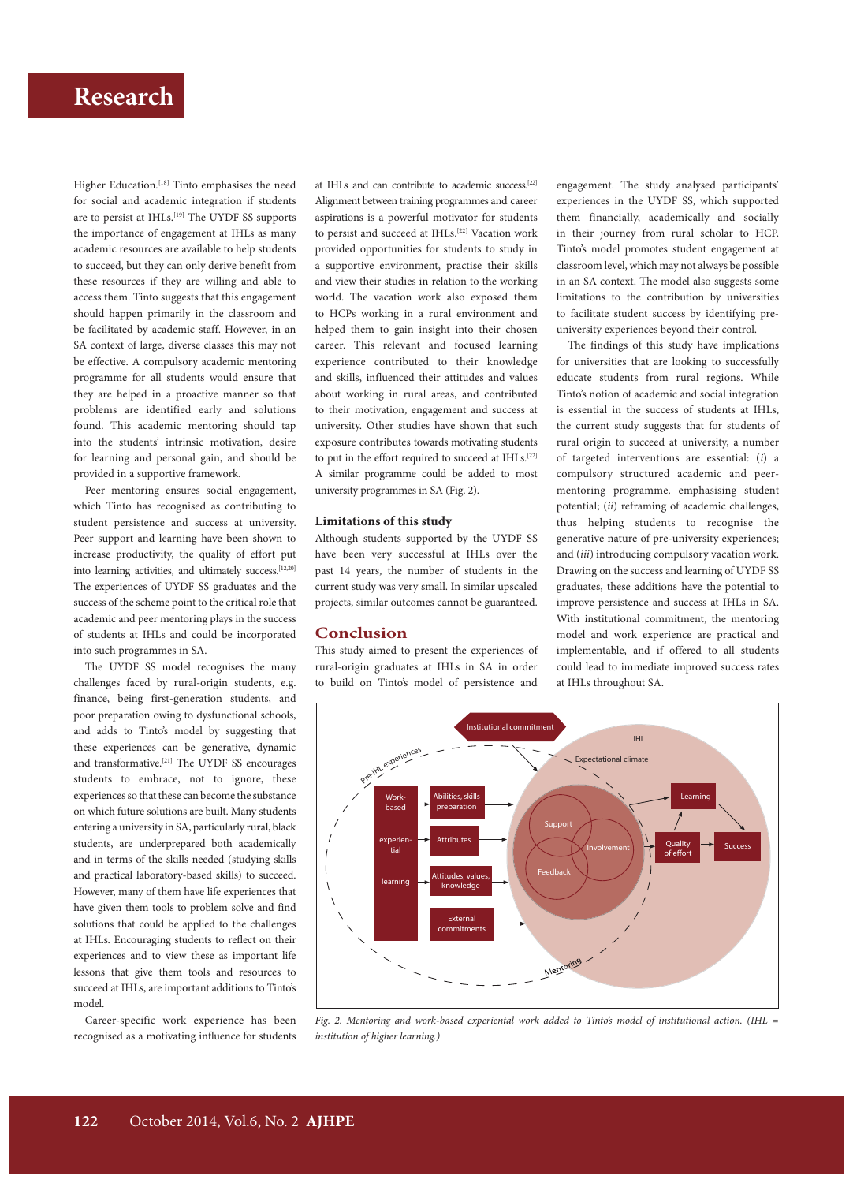# **Research Research Research Research Research Research Research Research Research Research Research Research Research Research Research Research Research Research Research Research R**

Higher Education.<sup>[18]</sup> Tinto emphasises the need for social and academic integration if students are to persist at IHLs.<sup>[19]</sup> The UYDF SS supports the importance of engagement at IHLs as many academic resources are available to help students to succeed, but they can only derive benefit from these resources if they are willing and able to access them. Tinto suggests that this engagement should happen primarily in the classroom and be facilitated by academic staff. However, in an SA context of large, diverse classes this may not be effective. A compulsory academic mentoring programme for all students would ensure that they are helped in a proactive manner so that problems are identified early and solutions found. This academic mentoring should tap into the students' intrinsic motivation, desire for learning and personal gain, and should be provided in a supportive framework.

Peer mentoring ensures social engagement, which Tinto has recognised as contributing to student persistence and success at university. Peer support and learning have been shown to increase productivity, the quality of effort put into learning activities, and ultimately success.<sup>[12,20]</sup> The experiences of UYDF SS graduates and the success of the scheme point to the critical role that academic and peer mentoring plays in the success of students at IHLs and could be incorporated into such programmes in SA.

The UYDF SS model recognises the many challenges faced by rural-origin students, e.g. finance, being first-generation students, and poor preparation owing to dysfunctional schools, and adds to Tinto's model by suggesting that these experiences can be generative, dynamic and transformative.[21] The UYDF SS encourages students to embrace, not to ignore, these experiences so that these can become the substance on which future solutions are built. Many students entering a university in SA, particularly rural, black students, are underprepared both academically and in terms of the skills needed (studying skills and practical laboratory-based skills) to succeed. However, many of them have life experiences that have given them tools to problem solve and find solutions that could be applied to the challenges at IHLs. Encouraging students to reflect on their experiences and to view these as important life lessons that give them tools and resources to succeed at IHLs, are important additions to Tinto's model.

Career-specific work experience has been recognised as a motivating influence for students

at IHLs and can contribute to academic success.[22] Alignment between training programmes and career aspirations is a powerful motivator for students to persist and succeed at IHLs.<sup>[22]</sup> Vacation work provided opportunities for students to study in a supportive environment, practise their skills and view their studies in relation to the working world. The vacation work also exposed them to HCPs working in a rural environment and helped them to gain insight into their chosen career. This relevant and focused learning experience contributed to their knowledge and skills, influenced their attitudes and values about working in rural areas, and contributed to their motivation, engagement and success at university. Other studies have shown that such exposure contributes towards motivating students to put in the effort required to succeed at IHLs.<sup>[22]</sup> A similar programme could be added to most university programmes in SA (Fig. 2).

### **Limitations of this study**

Although students supported by the UYDF SS have been very successful at IHLs over the past 14 years, the number of students in the current study was very small. In similar upscaled projects, similar outcomes cannot be guaranteed.

## **Conclusion**

This study aimed to present the experiences of rural-origin graduates at IHLs in SA in order to build on Tinto's model of persistence and engagement. The study analysed participants' experiences in the UYDF SS, which supported them financially, academically and socially in their journey from rural scholar to HCP. Tinto's model promotes student engagement at classroom level, which may not always be possible in an SA context. The model also suggests some limitations to the contribution by universities to facilitate student success by identifying preuniversity experiences beyond their control.

The findings of this study have implications for universities that are looking to successfully educate students from rural regions. While Tinto's notion of academic and social integration is essential in the success of students at IHLs, the current study suggests that for students of rural origin to succeed at university, a number of targeted interventions are essential: (*i*) a compulsory structured academic and peermentoring programme, emphasising student potential; (*ii*) reframing of academic challenges, thus helping students to recognise the generative nature of pre-university experiences; and (*iii*) introducing compulsory vacation work. Drawing on the success and learning of UYDF SS graduates, these additions have the potential to improve persistence and success at IHLs in SA. With institutional commitment, the mentoring model and work experience are practical and implementable, and if offered to all students could lead to immediate improved success rates at IHLs throughout SA.



*Fig. 2. Mentoring and work-based experiental work added to Tinto's model of institutional action. (IHL = institution of higher learning.)*